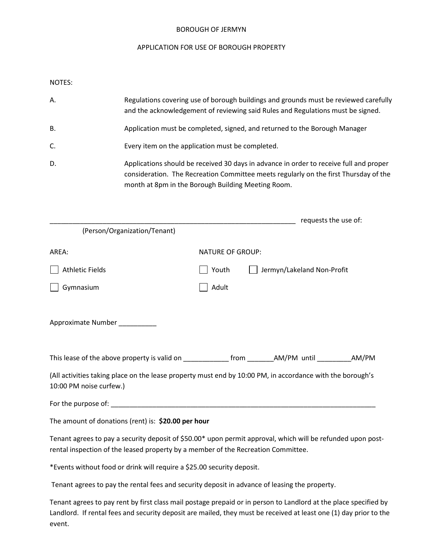#### BOROUGH OF JERMYN

#### APPLICATION FOR USE OF BOROUGH PROPERTY

NOTES:

| Α.        | Regulations covering use of borough buildings and grounds must be reviewed carefully<br>and the acknowledgement of reviewing said Rules and Regulations must be signed.                                                              |
|-----------|--------------------------------------------------------------------------------------------------------------------------------------------------------------------------------------------------------------------------------------|
| <b>B.</b> | Application must be completed, signed, and returned to the Borough Manager                                                                                                                                                           |
| C.        | Every item on the application must be completed.                                                                                                                                                                                     |
| D.        | Applications should be received 30 days in advance in order to receive full and proper<br>consideration. The Recreation Committee meets regularly on the first Thursday of the<br>month at 8pm in the Borough Building Meeting Room. |

|                                                                                   | requests the use of:                                                                                        |
|-----------------------------------------------------------------------------------|-------------------------------------------------------------------------------------------------------------|
| (Person/Organization/Tenant)                                                      |                                                                                                             |
| AREA:                                                                             | <b>NATURE OF GROUP:</b>                                                                                     |
| <b>Athletic Fields</b>                                                            | Youth<br>Jermyn/Lakeland Non-Profit                                                                         |
| Gymnasium                                                                         | Adult                                                                                                       |
| Approximate Number _________                                                      |                                                                                                             |
|                                                                                   |                                                                                                             |
| 10:00 PM noise curfew.)                                                           | (All activities taking place on the lease property must end by 10:00 PM, in accordance with the borough's   |
|                                                                                   |                                                                                                             |
| The amount of donations (rent) is: \$20.00 per hour                               |                                                                                                             |
| rental inspection of the leased property by a member of the Recreation Committee. | Tenant agrees to pay a security deposit of \$50.00* upon permit approval, which will be refunded upon post- |

\*Events without food or drink will require a \$25.00 security deposit.

Tenant agrees to pay the rental fees and security deposit in advance of leasing the property.

Tenant agrees to pay rent by first class mail postage prepaid or in person to Landlord at the place specified by Landlord. If rental fees and security deposit are mailed, they must be received at least one (1) day prior to the event.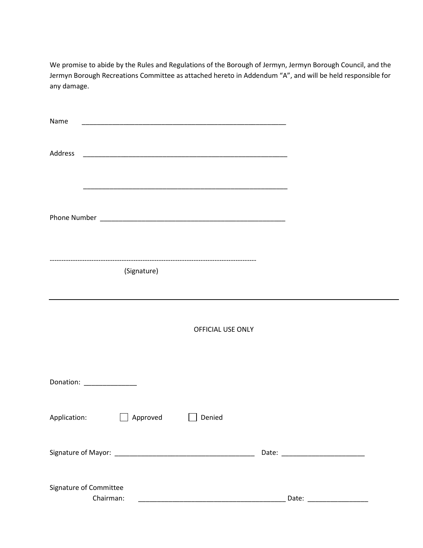We promise to abide by the Rules and Regulations of the Borough of Jermyn, Jermyn Borough Council, and the Jermyn Borough Recreations Committee as attached hereto in Addendum "A", and will be held responsible for any damage.

| Name<br><u> 1980 - Jan James James James James James James James James James James James James James James James James</u> |  |
|----------------------------------------------------------------------------------------------------------------------------|--|
| Address                                                                                                                    |  |
|                                                                                                                            |  |
| (Signature)                                                                                                                |  |
| OFFICIAL USE ONLY                                                                                                          |  |
| Donation: _______________                                                                                                  |  |
| Application: Approved Denied                                                                                               |  |
|                                                                                                                            |  |
| Signature of Committee<br>Chairman:                                                                                        |  |